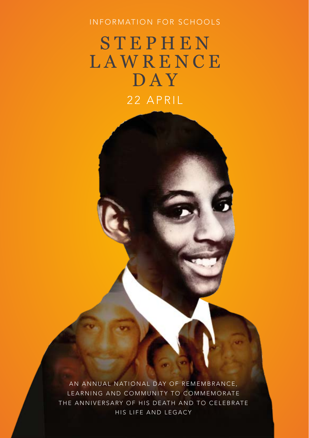## INFORMATION FOR SCHOOLS

# STEPHEN LAWRENCE DAY 22 APRIL

AN ANNUAL NATIONAL DAY OF REMEMBRANCE, LEARNING AND COMMUNITY TO COMMEMORATE THE ANNIVERSARY OF HIS DEATH AND TO CELEBRATE HIS LIFE AND LEGACY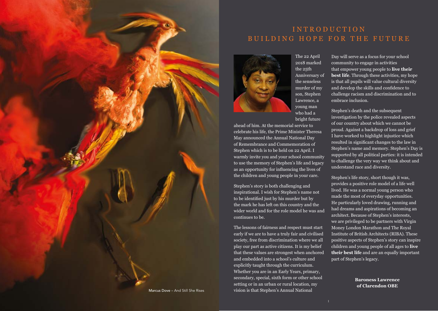

# I N T R O D U C T I O N BUILDING HOPE FOR THE FUTURE



The 22 April 2018 marked the 25th Anniversary of the senseless murder of my son, Stephen Lawrence, a young man who had a bright future

ahead of him. At the memorial service to celebrate his life, the Prime Minister Theresa May announced the Annual National Day of Remembrance and Commemoration of Stephen which is to be held on 22 April. I warmly invite you and your school community to use the memory of Stephen's life and legacy as an opportunity for influencing the lives of the children and young people in your care.

Stephen's story is both challenging and inspirational. I wish for Stephen's name not to be identified just by his murder but by the mark he has left on this country and the wider world and for the role model he was and continues to be.

The lessons of fairness and respect must start early if we are to have a truly fair and civilised society, free from discrimination where we all play our part as active citizens. It is my belief that these values are strongest when anchored and embedded into a school's culture and explicitly taught through the curriculum. Whether you are in an Early Years, primary, secondary, special, sixth form or other school setting or in an urban or rural location, my vision is that Stephen's Annual National

Day will serve as a focus for your school community to engage in activities that empower young people to **live their best life**. Through these activities, my hope is that all pupils will value cultural diversity and develop the skills and confidence to challenge racism and discrimination and to embrace inclusion.

Stephen's death and the subsequent investigation by the police revealed aspects of our country about which we cannot be proud. Against a backdrop of loss and grief I have worked to highlight injustice which resulted in significant changes to the law in Stephen's name and memory. Stephen's Day is supported by all political parties: it is intended to challenge the very way we think about and understand race and diversity.

Stephen's life story, short though it was, provides a positive role model of a life well lived. He was a normal young person who made the most of everyday opportunities. He particularly loved drawing, running and had dreams and aspirations of becoming an architect. Because of Stephen's interests, we are privileged to be partners with Virgin Money London Marathon and The Royal Institute of British Architects (RIBA). These positive aspects of Stephen's story can inspire children and young people of all ages to **live their best life** and are an equally important part of Stephen's legacy.

> **Baroness Lawrence of Clarendon OBE**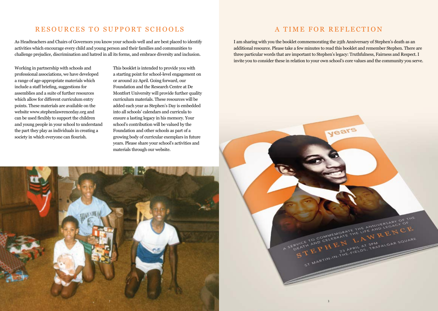# RESOURCES TO SUPPORT SCHOOLS A TIME FOR REFLECTION

As Headteachers and Chairs of Governors you know your schools well and are best placed to identify activities which encourage every child and young person and their families and communities to challenge prejudice, discrimination and hatred in all its forms, and embrace diversity and inclusion.

Working in partnership with schools and professional associations, we have developed a range of age-appropriate materials which include a staff briefing, suggestions for assemblies and a suite of further resources which allow for different curriculum entry points. These materials are available on the website www.stephenlawrenceday.org and can be used flexibly to support the children and young people in your school to understand the part they play as individuals in creating a society in which everyone can flourish.

This booklet is intended to provide you with a starting point for school-level engagement on or around 22 April. Going forward, our Foundation and the Research Centre at De Montfort University will provide further quality curriculum materials. These resources will be added each year as Stephen's Day is embedded into all schools' calendars and curricula to ensure a lasting legacy in his memory. Your school's contribution will be valued by the Foundation and other schools as part of a growing body of curricular exemplars in future years. Please share your school's activities and materials through our website.

 $2$  and  $\sim$  3  $\sim$  3  $\sim$  3  $\sim$  3  $\sim$  3  $\sim$  3  $\sim$  3  $\sim$  3  $\sim$  3  $\sim$  3  $\sim$  3  $\sim$ 

I am sharing with you the booklet commemorating the 25th Anniversary of Stephen's death as an additional resource. Please take a few minutes to read this booklet and remember Stephen. There are three particular words that are important to Stephen's legacy: Truthfulness, Fairness and Respect. I invite you to consider these in relation to your own school's core values and the community you serve.

years

FRIGGOMMEMORATE THE ANNIVERSARY OF THE

ST HARTIN-IN-THE-FIELDS-TRANSPARED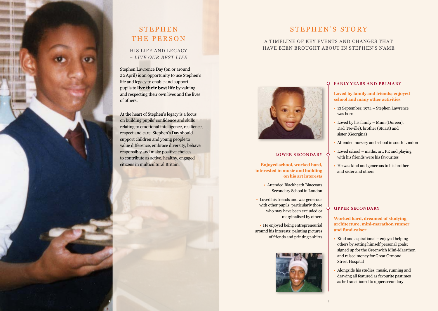

### HIS LIFE AND LEGACY – *LIVE OUR BEST LIFE*

Stephen Lawrence Day (on or around 22 April) is an opportunity to use Stephen's life and legacy to enable and support pupils to **live their best life** by valuing and respecting their own lives and the lives of others.

At the heart of Stephen's legacy is a focus on building pupils' confidence and skills relating to emotional intelligence, resilience, respect and care. Stephen's Day should support children and young people to value difference, embrace diversity, behave responsibly and make positive choices to contribute as active, healthy, engaged citizens in multicultural Britain.

# STEPHEN'S STORY

### A TIMELINE OF KEY EVENTS AND CHANGES THAT HAVE BEEN BROUGHT ABOUT IN STEPHEN'S NAME



### **LOWER SECONDARY**

**Enjoyed school, worked hard, interested in music and building on his art interests** 

- Attended Blackheath Bluecoats Secondary School in London
- Loved his friends and was generous with other pupils, particularly those who may have been excluded or marginalised by others

• He enjoyed being entrepreneurial around his interests; painting pictures of friends and printing t-shirts



### **EARLY YEARS AND PRIMARY**

**Loved by family and friends; enjoyed school and many other activities**

- 13 September, 1974 Stephen Lawrence was born
- Loved by his family Mum (Doreen), Dad (Neville), brother (Stuart) and sister (Georgina)
- Attended nursery and school in south London
- Loved school maths, art, PE and playing with his friends were his favourites
- He was kind and generous to his brother and sister and others

### **UPPER SECONDARY**

**Worked hard, dreamed of studying architecture, mini-marathon runner and fund-raiser**

- Kind and aspirational enjoyed helping others by setting himself personal goals; signed up for the Greenwich Mini-Marathon and raised money for Great Ormond Street Hospital
- Alongside his studies, music, running and drawing all featured as favourite pastimes as he transitioned to upper secondary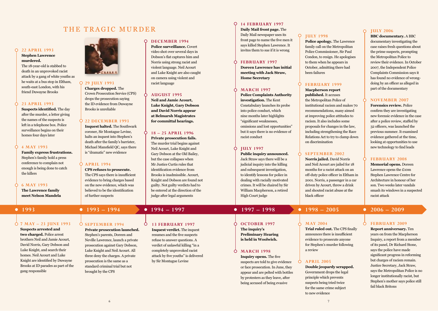## THE TRAGIC MURDER

### **22 APRIL 1993**

### **Stephen Lawrence murdered.**

The 18-year-old is stabbed to death in an unprovoked racist attack by a gang of white youths as he waits at a bus stop in Eltham, south-east London, with his friend Duwayne Brooks

### **23 APRIL 1993**

**Suspects identified.** The day after the murder, a letter giving the names of the suspects is left in a telephone box. Police surveillance begins on their homes four days later

#### **4 MAY 1993**

**Family express frustrations.** Stephen's family hold a press conference to complain not enough is being done to catch the killers

#### **6 MAY 1993**

**The Lawrence family meet Nelson Mandela**

**7 MAY – 23 JUNE 1993 Suspects arrested and** 

**two charged.** Police arrest brothers Neil and Jamie Acourt, David Norris, Gary Dobson and Luke Knight, and search their homes. Neil Acourt and Luke Knight are identified by Duwayne Brooks at ID parades as part of the gang responsible



### **29 JULY 1993**

**Charges dropped.** The Crown Prosecution Service (CPS) drops the prosecution saying the ID evidence from Duwayne Brooks is unreliable

### **22 DECEMBER 1993**

**Inquest halted.** The Southwark coroner, Sir Montague Levine, halts an inquest into Stephen's death after the family's barrister, Michael Mansfield QC, says there is "dramatic" new evidence

#### **APRIL 1994**

of further suspects

**CPS refuses to prosecute.** The CPS says there is insufficient evidence to bring charges based on the new evidence, which was

believed to be the identification

#### **DECEMBER 1994**  $\circ$

**Police surveillance.** Covert video shot over several days in Dobson's flat captures him and Norris using strong racist and violent language. Neil Acourt and Luke Knight are also caught on camera using violent and racist language

### **AUGUST 1995**

**Neil and Jamie Acourt, Luke Knight, Gary Dobson and David Norris appear at Belmarsh Magistrates for committal hearings.**

#### Ò **18 – 25 APRIL 1996**

**Private prosecution fails.** The murder trial begins against Neil Acourt, Luke Knight and Gary Dobson at the Old Bailey, but the case collapses when Mr Justice Curtis rules that identification evidence from Brooks is inadmissible. Acourt, Knight and Dobson are found not guilty. Not guilty verdicts had to be entered at the direction of the judge after legal arguments

### **14 FEBRUARY 1997**

**Daily Mail front page.** The Daily Mail newspaper uses its front page to name the five men it says killed Stephen Lawrence. It invites them to sue if it is wrong

#### **FEBRUARY 1997**

**Doreen Lawrence has initial meeting with Jack Straw, Home Secretary**

#### **MARCH 1997**

**Police Complaints Authority investigation.** The Kent Constabulary launches its probe into police conduct, which nine months later highlights "significant weaknesses, omissions and lost opportunities" but it says there is no evidence of racist conduct

#### **JULY 1997**

**Public inquiry announced.**  Jack Straw says there will be a judicial inquiry into the killing and subsequent investigation, to identify lessons for police in dealing with racially motivated crimes. It will be chaired by Sir William Macpherson, a retired High Court judge

### **OCTOBER 1997 The inquiry's**

**Preliminary Hearing is held in Woolwich.**

#### **MARCH 1998**

**Inquiry opens.** The five suspects are told to give evidence or face prosecution. In June, they appear and are pelted with bottles by protesters as they leave, after being accused of being evasive

### **JULY 1998**

**Police apology.** The Lawrence family call on the Metropolitan Police Commissioner, Sir Paul Condon, to resign. He apologises to them when he appears in October, admitting there had been failures

### **FEBRUARY 1999**

**Macpherson report published.** It accuses the Metropolitan Police of institutional racism and makes 70 recommendations, many aimed at improving police attitudes to racism. It also includes some proposals for changes in the law, including strengthening the Race Relations Act to try to clamp down on discrimination

### **SEPTEMBER 2002**

**MAY 2004**

a review

**APRIL 2005**

**Norris jailed.** David Norris and Neil Acourt are jailed for 18 months for a racist attack on an off-duty police officer in Eltham in 2001. Norris, a passenger in a car driven by Acourt, threw a drink and shouted racist abuse at the black officer

**Trial ruled out.** The CPS finally announces there is insufficient evidence to prosecute anyone for Stephen's murder following

**Double jeopardy scrapped.** Government drops the legal principle which prevents suspects being tried twice for the same crime subject to new evidence

### **JULY 2006**

**BBC documentary.** A BBC documentary investigating the case raises fresh questions about the prime suspects, prompting the Metropolitan Police to review their evidence. In October 2007, the Independent Police Complaints Commission says it has found no evidence of wrongdoing by an officer as alleged in part of the documentary

#### **NOVEMBER 2007**

**Forensics review.** Police confirm they are investigating new forensic evidence in the case after a police review, staffed by 32 officers, was launched the previous summer. It examined evidence gathered at the time, looking at opportunities to use new technology to find leads

#### **FEBRUARY 2008**

**Memorial opens.** Doreen Lawrence opens the £10m Stephen Lawrence Centre for Architecture in honour of her son. Two weeks later vandals smash its windows in a suspected racist attack

## **1993 1993 – 1994 1994 – 1997 1997 – 1998 1998 – 2005 2006 – 2009**

#### **FEBRUARY 2009**

**Report anniversary.** Ten years on from the Macpherson Inquiry, a report from a member of its panel, Dr Richard Stone, says the police have made significant progress in reforming but charges of racism remain. Justice Secretary, Jack Straw, says the Metropolitan Police is no longer institutionally racist, but Stephen's mother says police still fail black Britons

**SEPTEMBER 1994** ς

**Private prosecution launched.** Stephen's parents, Doreen and Neville Lawrence, launch a private prosecution against Gary Dobson, Luke Knight and Neil Acourt. All three deny the charges. A private prosecution is the same as a standard criminal trial but not brought by the CPS

**13 FEBRUARY 1997**

**Inquest verdict.** The inquest resumes and the five suspects refuse to answer questions. A verdict of unlawful killing "in a completely unprovoked racist attack by five youths" is delivered by Sir Montague Levine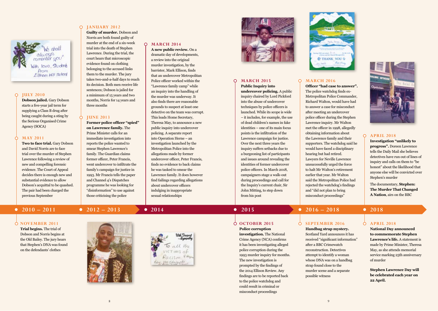

#### $\circ$ **JULY 2010**

**Dobson jailed.** Gary Dobson starts a five-year jail term for supplying a Class B drug after being caught during a sting by the Serious Organised Crime Agency (SOCA)

#### **MAY 2011**

Ò

**Two to face trial.** Gary Dobson and David Norris are to face trial over the murder of Stephen Lawrence following a review of new and compelling forensic evidence. The Court of Appeal decides there is enough new and substantial evidence to allow Dobson's acquittal to be quashed. The pair had been charged the previous September

#### $\circ$ **JANUARY 2012**

**Guilty of murder.** Dobson and Norris are both found guilty of murder at the end of a six-week trial into the death of Stephen Lawrence. During the trial, the court hears that microscopic evidence found on clothing belonging to the accused links them to the murder. The jury takes two-and-a-half days to reach its decision. Both men receive life sentences; Dobson is jailed for a minimum of 15 years and two months, Norris for 14 years and three months

#### **JUNE 2013**

**Former police officer "spied" on Lawrence family.** The Prime Minister calls for an immediate investigation into reports the police wanted to smear Stephen Lawrence's family. The Guardian claims former officer, Peter Francis, went undercover to infiltrate the family's campaign for justice in 1993. Mr Francis tells the paper and Channel 4's Dispatches programme he was looking for "disinformation" to use against those criticising the police

### **MARCH 2014**

**A new public review.** On a dramatic day of developments, a review into the original murder investigation, by the barrister, Mark Ellison, finds that an undercover Metropolitan Police officer worked within the "Lawrence family camp" while an inquiry into the handling of the murder was underway. It also finds there are reasonable grounds to suspect at least one detective on the team was corrupt. This leads Home Secretary, Theresa May, to announce a new public inquiry into undercover policing. A separate report into Operation Herne – an investigation launched by the Metropolitan Police into the allegations made by former undercover officer, Peter Francis, finds no evidence to back claims he was tasked to smear the Lawrence family. It does however find failings regarding allegations about undercover officers indulging in inappropriate sexual relationships



#### $\Omega$ **MARCH 2015**

**Public Inquiry into undercover policing.** A public inquiry chaired by Lord Pickford into the abuse of undercover techniques by police officers is launched. While its scope is wide – it includes, for example, the use of dead children's names in fake identities – one of its main focus points is the infiltration of the Lawrence campaign for justice. Over the next three years the inquiry suffers setbacks due to a burgeoning list of participants and issues around revealing the identities of former undercover police officers. In March 2018, campaigners stage a walk-out during proceedings and call for the Inquiry's current chair, Sir John Mitting, to step down from his post



### **MARCH 2016**

**Officer "had case to answer".** The police watchdog finds ex-Metropolitan Police Commander, Richard Walton, would have had to answer a case for misconduct after meeting an undercover police officer during the Stephen Lawrence inquiry. Mr Walton met the officer in 1998, allegedly obtaining information about the Lawrence family and their supporters. The watchdog said he would have faced a disciplinary hearing but had retired. Lawyers for Neville Lawrence unsuccessfully urged the force to halt Mr Walton's retirement earlier that year. Mr Walton said the Metropolitan Police had rejected the watchdog's findings and "did not plan to bring misconduct proceedings"



### **APRIL 2018**

**Investigation "unlikely to progress".** Doreen Lawrence tells the Daily Mail she believes detectives have run out of lines of inquiry and calls on them to "be honest" about the likelihood that anyone else will be convicted over Stephen's murder

The documentary, **Stephen: The Murder That Changed A Nation**, airs on the BBC

### **NOVEMBER 2011**

**Trial begins.** The trial of Dobson and Norris begins at the Old Bailey. The jury hears that Stephen's DNA was found on the defendants' clothes



# VICTIMS of Racism Vingo hay, we Edwards

#### ₼ **OCTOBER 2015**

**Police corruption investigation.** The National Crime Agency (NCA) confirms it has been investigating alleged police corruption during the 1993 murder inquiry for months. The new investigation is prompted by the findings of the 2014 Ellison Review. Any findings are to be reported back to the police watchdog and could result in criminal or misconduct proceedings

## **2010 – 2011 2012 – 2013 2014 2015 2016 – 2018 2018**

### **SEPTEMBER 2016**

**Handbag strap mystery.**  Scotland Yard announces it has received "significant information" after a BBC Crimewatch reconstruction. Detectives attempt to identify a woman whose DNA was on a handbag strap found close to the murder scene and a separate possible witness

#### **APRIL 2018**

**National Day announced to commemorate Stephen Lawrence's life.** A statement is made by Prime Minister, Theresa May, as she attends memorial service marking 25th anniversary of murder

**Stephen Lawrence Day will be celebrated each year on 22 April.**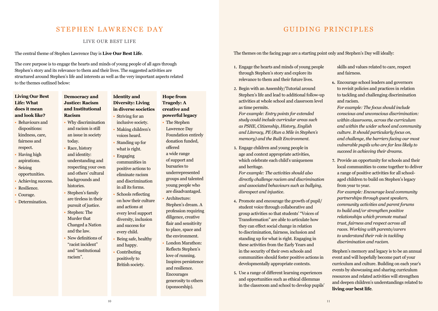## STEPHEN LAWRENCE DAY

LIVE OUR BEST LIFE

The central theme of Stephen Lawrence Day is **Live Our Best Life**.

The core purpose is to engage the hearts and minds of young people of all ages through Stephen's story and its relevance to them and their lives. The suggested activities are structured around Stephen's life and interests as well as the very important aspects related to the themes outlined below:

### **Living Our Best Life: What does it mean and look like?**

- Behaviours and dispositions: kindness, care, fairness and respect.
- Having high aspirations.
- Seizing opportunities.
- Achieving success.
- Resilience.
- Courage.
- Determination.

### **Democracy and Justice: Racism and Institutional Racism**

- Why discrimination and racism is still an issue in society today.
- Race, history
- and identity: understanding and respecting your own and others' cultural
- backgrounds and histories.
- Stephen's family are tireless in their pursuit of justice.
- Stephen: The Murder that Changed a Nation and the law.
- New definitions of "racist incident" and "institutional racism".

## **Identity and Diversity: Living in diverse societies** • Striving for an

- inclusive society. • Making children's voices heard.
	- Standing up for what is right.
	- Engaging communities in positive actions to eliminate racism
		- and discrimination in all its forms. • Schools reflecting
	- on how their culture and actions at every level support diversity, inclusion and success for every child.
	- Being safe, healthy and happy. • Contributing

## positively to British society.

## **Hope from Tragedy: A creative and powerful legacy**

- The Stephen Lawrence Day Foundation entirely donation funded, offered a wide range of support and bursaries to underrepresented groups and talented young people who are disadvantaged.
- Architecture: Stephen's dream. A profession requiring diligence, creative flair and sensitivity to place, space and the environment.
- London Marathon: Reflects Stephen's love of running. Inspires persistence and resilience. Encourages generosity to others (sponsorship).

# GUIDING PRINCIPLES

The themes on the facing page are a starting point only and Stephen's Day will ideally:

- **1.** Engage the hearts and minds of young people through Stephen's story and explore its relevance to them and their future lives.
- **2.** Begin with an Assembly/Tutorial around Stephen's life and lead to additional follow-up activities at whole school and classroom level as time permits.

*For example: Entry points for extended study could include curricular areas such as PSHE, Citizenship, History, English and Literacy, PE (Run a Mile in Stephen's memory) and the Built Environment.*

**3.** Engage children and young people in age and context appropriate activities, which celebrate each child's uniqueness and heritage.

*For example: The activities should also directly challenge racism and discrimination and associated behaviours such as bullying, disrespect and injustice.*

- **4.** Promote and encourage the growth of pupil/ student voice through collaborative and group activities so that students' "Voices of Transformation" are able to articulate how they can effect social change in relation to discrimination, fairness, inclusion and standing up for what is right. Engaging in these activities from the Early Years and in the security of their own schools and communities should foster positive actions in developmentally appropriate contexts.
- **5.** Use a range of different learning experiences and opportunities such as ethical dilemmas in the classroom and school to develop pupils'

skills and values related to care, respect and fairness.

- **6.** Encourage school leaders and governors to revisit policies and practices in relation to tackling and challenging discrimination and racism.
- *For example: The focus should include conscious and unconscious discrimination: within classrooms, across the curriculum and within the wider school and community culture. It should particularly focus on, and challenge, the barriers facing our most vulnerable pupils who are far less likely to succeed in achieving their dreams.*
- **7.** Provide an opportunity for schools and their local communities to come together to deliver a range of positive activities for all schoolaged children to build on Stephen's legacy from year to year.

*For example: Encourage local community partnerships through guest speakers, community activities and parent forums to build and/or strengthen positive relationships which promote mutual trust, fairness and respect across all races. Working with parents/carers to understand their role in tackling discrimination and racism.*

Stephen's memory and legacy is to be an annual event and will hopefully become part of your curriculum and culture. Building on each year's events by showcasing and sharing curriculum resources and related activities will strengthen and deepen children's understandings related to **living our best life**.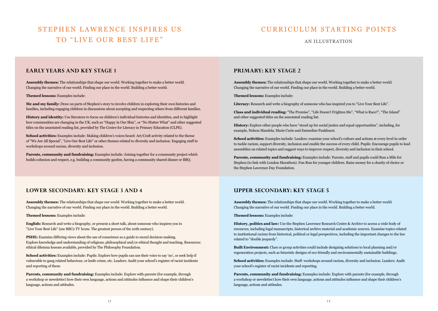# STEPHEN LAWRENCE INSPIRES US TO "LIVE OUR BEST LIFE"

## CURRICULUM STARTING POINTS

### AN ILLUSTRATION

### **EARLY YEARS AND KEY STAGE 1**

**Assembly themes:** The relationships that shape our world. Working together to make a better world. Changing the narrative of our world. Finding our place in the world. Building a better world.

#### **Themed lessons:** Examples include:

**Me and my family:** Draw on parts of Stephen's story to involve children in exploring their own histories and families, including engaging children in discussions about accepting and respecting others from different families.

**History and identity:** Use literature to focus on children's individual histories and identities, and to highlight how communities are changing in the UK, such as "Happy in Our Skin", or "No Matter What" and other suggested titles on the annotated reading list, provided by The Centre for Literacy in Primary Education (CLPE).

**School activities:** Examples include: Making children's voices heard: Art/Craft activity related to the theme of "We Are All Special", "Live Our Best Life" or other themes related to diversity and inclusion. Engaging staff in workshops around racism, diversity and inclusion.

**Parents, community and fundraising:** Examples include: Joining together for a community project which builds cohesion and respect, e.g. building a community garden, having a community shared dinner or BBQ.

### **PRIMARY: KEY STAGE 2**

**Assembly themes:** The relationships that shape our world. Working together to make a better world. Changing the narrative of our world. Finding our place in the world. Building a better world.

**Themed lessons:** Examples include:

**Literacy:** Research and write a biography of someone who has inspired you to "Live Your Best Life".

**Class and individual reading:** "The Promise", "Life Doesn't Frighten Me", "What is Race?", "The Island" and other suggested titles on the annotated reading list.

**History:** Explore other people who have "stood up for social justice and equal opportunities", including, for example, Nelson Mandela, Marie Curie and Emmeline Pankhurst.

**School activities:** Examples include: Leaders: examine your school's culture and actions at every level in order to tackle racism, support diversity, inclusion and enable the success of every child. Pupils: Encourage pupils to lead assemblies on related topics and suggest ways to improve respect, diversity and inclusion in their school.

**Parents, community and fundraising:** Examples include: Parents, staff and pupils could Run a Mile for Stephen (to link with London Marathon). Fun Run for younger children. Raise money for a charity of choice or the Stephen Lawrence Day Foundation.

### **LOWER SECONDARY: KEY STAGE 3 AND 4 UPPER SECONDARY: KEY STAGE 5**

**Assembly themes:** The relationships that shape our world. Working together to make a better world. Changing the narrative of our world. Finding our place in the world. Building a better world.

**Themed lessons:** Examples include:

**English:** Research and write a biography, or present a short talk, about someone who inspires you to "Live Your Best Life" (see BBC2 TV Icons. The greatest person of the 20th century).

**PSHE:** Examine differing views about the use of conscience as a guide to moral decision-making. Explore knowledge and understanding of religious, philosophical and/or ethical thought and teaching. Resources: ethical dilemna lessons available, provided by The Philosophy Foundation.

**School activities:** Examples include: Pupils: Explore how pupils can use their voice to say 'no', or seek help if vulnerable to gang related behaviour, or knife crime, etc. Leaders: Audit your school's register of racist incidents and reporting of these.

**Parents, community and fundraising:** Examples include: Explore with parents (for example, through a workshop or newsletter) how their own language, actions and attitudes influence and shape their children's language, actions and attitudes.

**Assembly themes:** The relationships that shape our world. Working together to make a better world. Changing the narrative of our world. Finding our place in the world. Building a better world.

**Themed lessons:** Examples include:

**History, politics and law:** Use the Stephen Lawrence Research Centre & Archive to access a wide body of resources, including legal manuscripts, historical archive material and academic sources. Examine topics related to institutional racism from historical, political or legal perspectives, including the important changes to the law related to "double jeopardy".

**Built Environment:** Class or group activities could include designing solutions to local planning and/or regeneration projects, such as futuristic designs of eco-friendly and environmentally sustainable buildings.

**School activities:** Examples include: Staff: workshops around racism, diversity and inclusion. Leaders: Audit your school's register of racist incidents and reporting.

**Parents, community and fundraising:** Examples include: Explore with parents (for example, through a workshop or newsletter) how their own language, actions and attitudes influence and shape their children's language, actions and attitudes.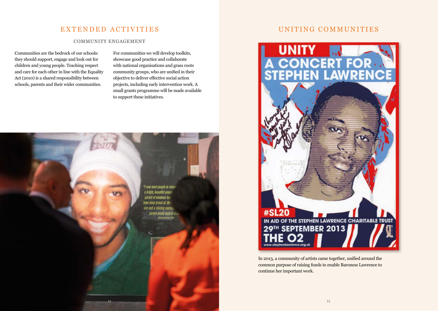## EXTENDED ACTIVITIES

### COMMUNITY ENGAGEMENT

Communities are the bedrock of our schools: they should support, engage and look out for children and young people. Teaching respect and care for each other in line with the Equality Act (2010) is a shared responsibility between schools, parents and their wider communities.

For communities we will develop toolkits, showcase good practice and collaborate with national organisations and grass roots community groups, who are unified in their objective to deliver effective social action projects, including early intervention work. A small grants programme will be made available to support these initiatives.



## UNITING COMMUNITIES



In 2013, a community of artists came together, unified around the common purpose of raising funds to enable Baroness Lawrence to continue her important work.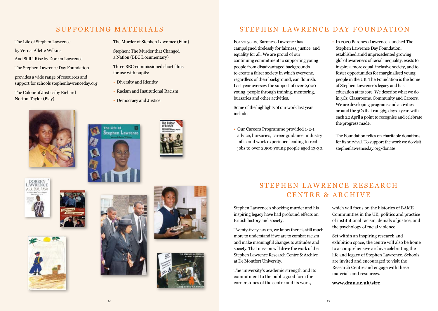# SUPPORTING MATERIALS

The Murder of Stephen Lawrence (Film) Stephen: The Murder that Changed a Nation (BBC Documentary)

Three BBC-commissioned short films

• Racism and Institutional Racism

• Democracy and Justice

for use with pupils: • Diversity and Identity

### The Life of Stephen Lawrence

by Verna Allette Wilkins

- And Still I Rise by Doreen Lawrence
- The Stephen Lawrence Day Foundation
- provides a wide range of resources and support for schools stephenlawrenceday.org

The Colour of Justice by Richard Norton-Taylor (Play)



The Life of **Stephen Lawrence** 















# STEPHEN LAWRENCE DAY FOUNDATION

For 20 years, Baroness Lawrence has campaigned tirelessly for fairness, justice and equality for all. We are proud of our continuing commitment to supporting young people from disadvantaged backgrounds to create a fairer society in which everyone, regardless of their background, can flourish. Last year oversaw the support of over 2,000 young people through training, mentoring, bursaries and other activities.

Some of the highlights of our work last year include:

- Our Careers Programme provided 1-2-1 advice, bursaries, career guidance, industry talks and work experience leading to real jobs to over 2,500 young people aged 13-30.
- In 2020 Baroness Lawrence launched The Stephen Lawrence Day Foundation, established amid unprecedented growing global awareness of racial inequality, exists to inspire a more equal, inclusive society, and to foster opportunities for marginalised young people in the UK. The Foundation is the home of Stephen Lawrence's legacy and has education at its core. We describe what we do in 3Cs: Classrooms, Community and Careers. We are developing programs and activities around the 3Cs that run 365 days a year, with each 22 April a point to recognise and celebrate the progress made.

The Foundation relies on charitable donations for its survival. To support the work we do visit stephenlawrenceday.org/donate

# STEPHEN LAWRENCE RESEARCH CENTRE & ARCHIVE

Stephen Lawrence's shocking murder and his inspiring legacy have had profound effects on British history and society.

Twenty-five years on, we know there is still much more to understand if we are to combat racism and make meaningful changes to attitudes and society. That mission will drive the work of the Stephen Lawrence Research Centre & Archive at De Montfort University.

The university's academic strength and its commitment to the public good form the cornerstones of the centre and its work,

which will focus on the histories of BAME Communities in the UK, politics and practice of institutional racism, denials of justice, and the psychology of racial violence.

Set within an inspiring research and exhibition space, the centre will also be home to a comprehensive archive celebrating the life and legacy of Stephen Lawrence. Schools are invited and encouraged to visit the Research Centre and engage with these materials and resources.

**www.dmu.ac.uk/slrc**